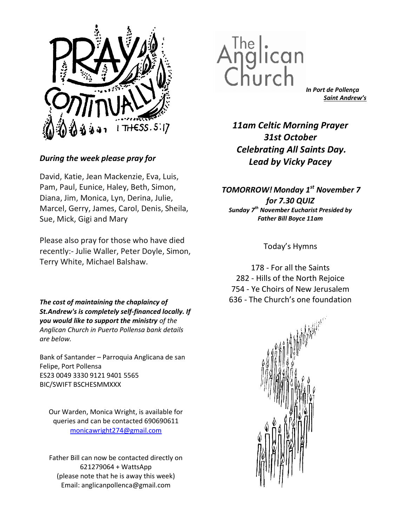

# During the week please pray for

David, Katie, Jean Mackenzie, Eva, Luis, Pam, Paul, Eunice, Haley, Beth, Simon, Diana, Jim, Monica, Lyn, Derina, Julie, Marcel, Gerry, James, Carol, Denis, Sheila, Sue, Mick, Gigi and Mary

Please also pray for those who have died recently:- Julie Waller, Peter Doyle, Simon, Terry White, Michael Balshaw.

The cost of maintaining the chaplaincy of St.Andrew's is completely self-financed locally. If you would like to support the ministry of the Anglican Church in Puerto Pollensa bank details are below.

Bank of Santander – Parroquia Anglicana de san Felipe, Port Pollensa ES23 0049 3330 9121 9401 5565 BIC/SWIFT BSCHESMMXXX

Our Warden, Monica Wright, is available for queries and can be contacted 690690611 monicawright274@gmail.com

Father Bill can now be contacted directly on 621279064 + WattsApp (please note that he is away this week) Email: anglicanpollenca@gmail.com



In Port de Pollença Saint Andrew's

11am Celtic Morning Prayer 31st October Celebrating All Saints Day. Lead by Vicky Pacey

TOMORROW! Monday 1<sup>st</sup> November 7 for 7.30 QUIZ Sunday  $7<sup>th</sup>$  November Eucharist Presided by Father Bill Boyce 11am

Today's Hymns

178 - For all the Saints 282 - Hills of the North Rejoice 754 - Ye Choirs of New Jerusalem 636 - The Church's one foundation